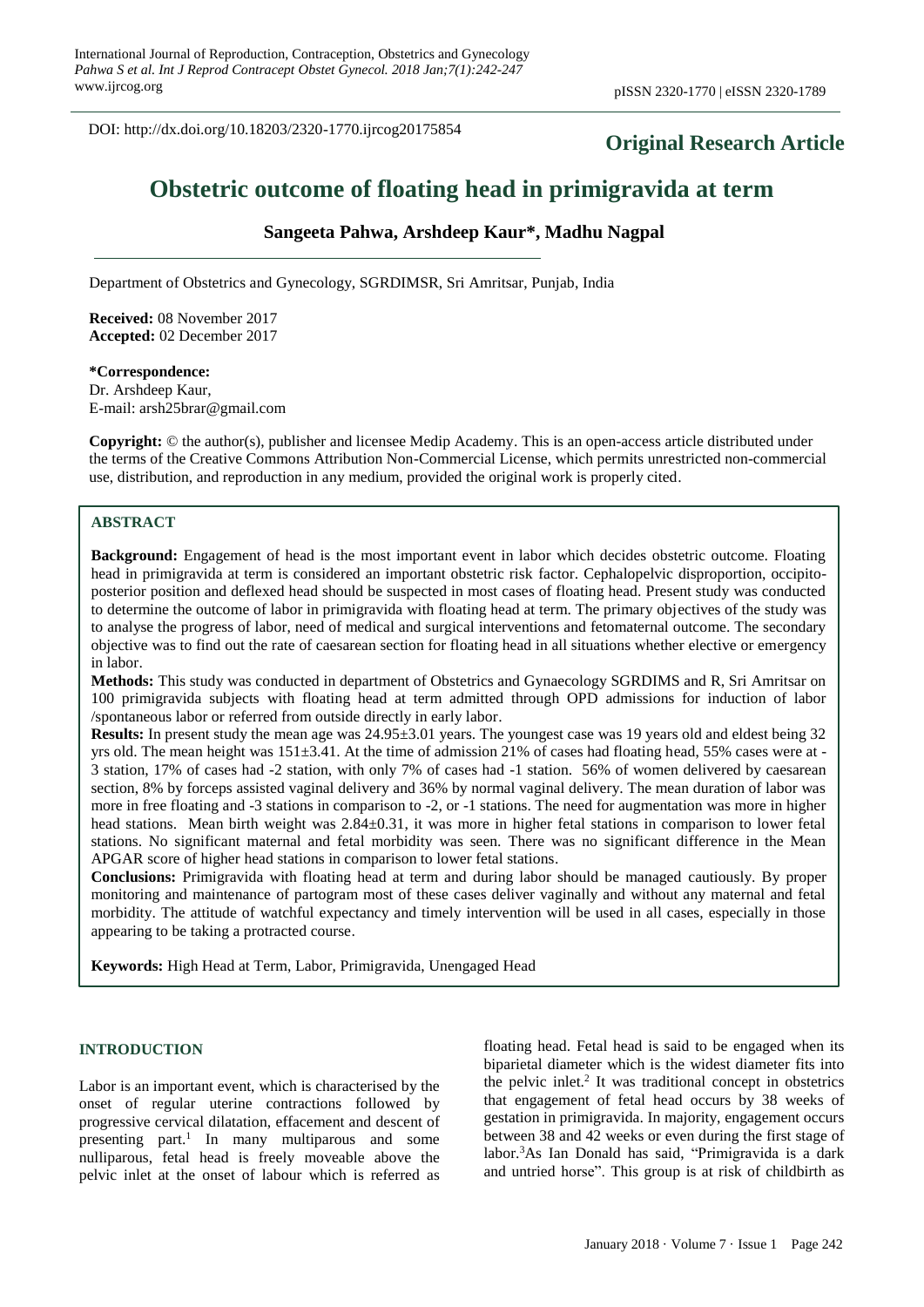DOI: http://dx.doi.org/10.18203/2320-1770.ijrcog20175854

## **Original Research Article**

# **Obstetric outcome of floating head in primigravida at term**

## **Sangeeta Pahwa, Arshdeep Kaur\*, Madhu Nagpal**

Department of Obstetrics and Gynecology, SGRDIMSR, Sri Amritsar, Punjab, India

**Received:** 08 November 2017 **Accepted:** 02 December 2017

**\*Correspondence:** Dr. Arshdeep Kaur, E-mail: arsh25brar@gmail.com

**Copyright:** © the author(s), publisher and licensee Medip Academy. This is an open-access article distributed under the terms of the Creative Commons Attribution Non-Commercial License, which permits unrestricted non-commercial use, distribution, and reproduction in any medium, provided the original work is properly cited.

## **ABSTRACT**

**Background:** Engagement of head is the most important event in labor which decides obstetric outcome. Floating head in primigravida at term is considered an important obstetric risk factor. Cephalopelvic disproportion, occipitoposterior position and deflexed head should be suspected in most cases of floating head. Present study was conducted to determine the outcome of labor in primigravida with floating head at term. The primary objectives of the study was to analyse the progress of labor, need of medical and surgical interventions and fetomaternal outcome. The secondary objective was to find out the rate of caesarean section for floating head in all situations whether elective or emergency in labor.

**Methods:** This study was conducted in department of Obstetrics and Gynaecology SGRDIMS and R, Sri Amritsar on 100 primigravida subjects with floating head at term admitted through OPD admissions for induction of labor /spontaneous labor or referred from outside directly in early labor.

**Results:** In present study the mean age was 24.95±3.01 years. The youngest case was 19 years old and eldest being 32 yrs old. The mean height was 151±3.41. At the time of admission 21% of cases had floating head, 55% cases were at - 3 station, 17% of cases had -2 station, with only 7% of cases had -1 station. 56% of women delivered by caesarean section, 8% by forceps assisted vaginal delivery and 36% by normal vaginal delivery. The mean duration of labor was more in free floating and -3 stations in comparison to -2, or -1 stations. The need for augmentation was more in higher head stations. Mean birth weight was  $2.84\pm0.31$ , it was more in higher fetal stations in comparison to lower fetal stations. No significant maternal and fetal morbidity was seen. There was no significant difference in the Mean APGAR score of higher head stations in comparison to lower fetal stations.

**Conclusions:** Primigravida with floating head at term and during labor should be managed cautiously. By proper monitoring and maintenance of partogram most of these cases deliver vaginally and without any maternal and fetal morbidity. The attitude of watchful expectancy and timely intervention will be used in all cases, especially in those appearing to be taking a protracted course.

**Keywords:** High Head at Term, Labor, Primigravida, Unengaged Head

## **INTRODUCTION**

Labor is an important event, which is characterised by the onset of regular uterine contractions followed by progressive cervical dilatation, effacement and descent of presenting part.<sup>1</sup> In many multiparous and some nulliparous, fetal head is freely moveable above the pelvic inlet at the onset of labour which is referred as floating head. Fetal head is said to be engaged when its biparietal diameter which is the widest diameter fits into the pelvic inlet. $2$  It was traditional concept in obstetrics that engagement of fetal head occurs by 38 weeks of gestation in primigravida. In majority, engagement occurs between 38 and 42 weeks or even during the first stage of labor.<sup>3</sup>As Ian Donald has said, "Primigravida is a dark and untried horse". This group is at risk of childbirth as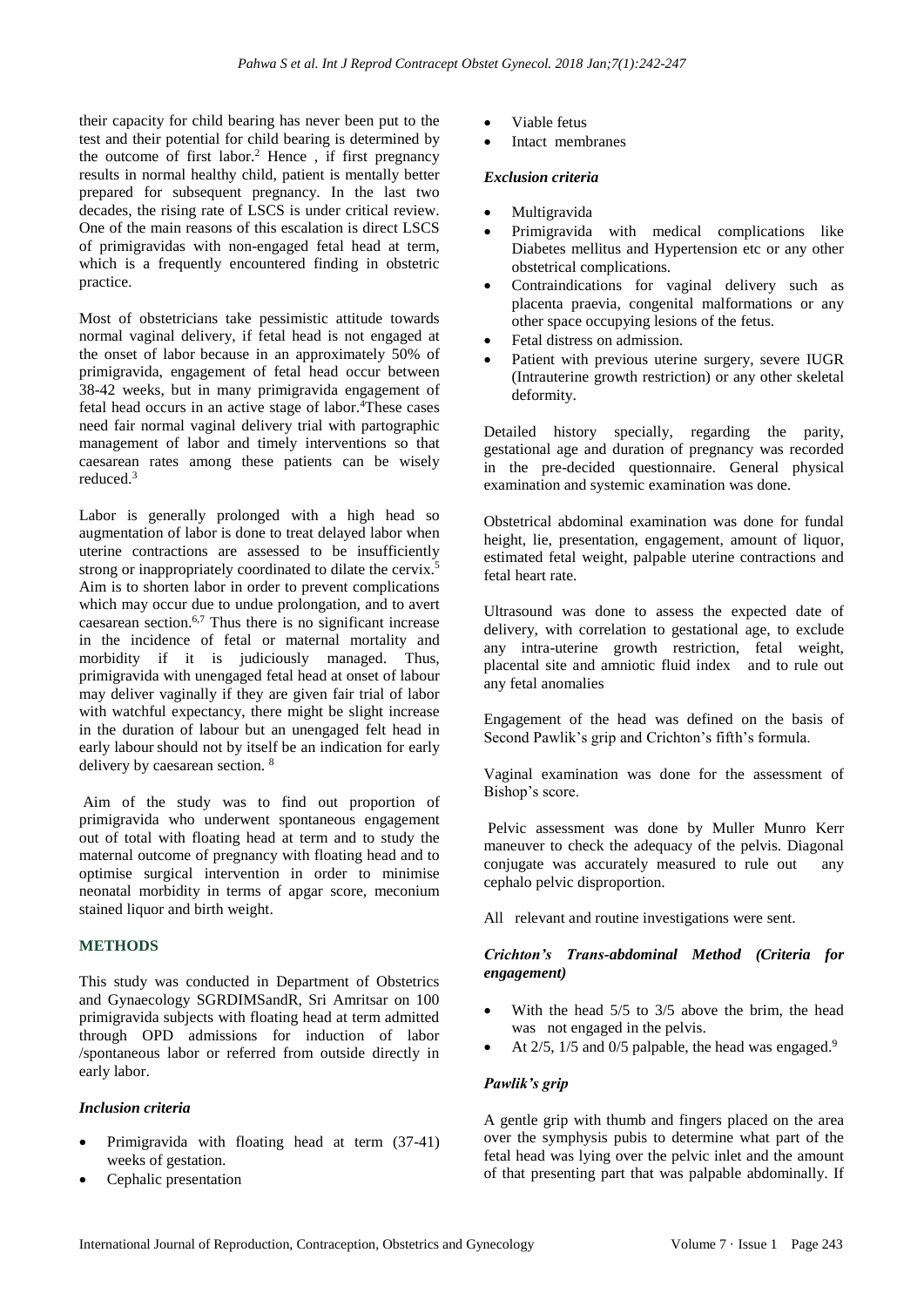their capacity for child bearing has never been put to the test and their potential for child bearing is determined by the outcome of first labor.<sup>2</sup> Hence, if first pregnancy results in normal healthy child, patient is mentally better prepared for subsequent pregnancy. In the last two decades, the rising rate of LSCS is under critical review. One of the main reasons of this escalation is direct LSCS of primigravidas with non-engaged fetal head at term, which is a frequently encountered finding in obstetric practice.

Most of obstetricians take pessimistic attitude towards normal vaginal delivery, if fetal head is not engaged at the onset of labor because in an approximately 50% of primigravida, engagement of fetal head occur between 38-42 weeks, but in many primigravida engagement of fetal head occurs in an active stage of labor.<sup>4</sup>These cases need fair normal vaginal delivery trial with partographic management of labor and timely interventions so that caesarean rates among these patients can be wisely reduced.<sup>3</sup>

Labor is generally prolonged with a high head so augmentation of labor is done to treat delayed labor when uterine contractions are assessed to be insufficiently strong or inappropriately coordinated to dilate the cervix.<sup>5</sup> Aim is to shorten labor in order to prevent complications which may occur due to undue prolongation, and to avert caesarean section.6,7 Thus there is no significant increase in the incidence of fetal or maternal mortality and morbidity if it is judiciously managed. Thus, primigravida with unengaged fetal head at onset of labour may deliver vaginally if they are given fair trial of labor with watchful expectancy, there might be slight increase in the duration of labour but an unengaged felt head in early labour should not by itself be an indication for early delivery by caesarean section. <sup>8</sup>

Aim of the study was to find out proportion of primigravida who underwent spontaneous engagement out of total with floating head at term and to study the maternal outcome of pregnancy with floating head and to optimise surgical intervention in order to minimise neonatal morbidity in terms of apgar score, meconium stained liquor and birth weight.

## **METHODS**

This study was conducted in Department of Obstetrics and Gynaecology SGRDIMSandR, Sri Amritsar on 100 primigravida subjects with floating head at term admitted through OPD admissions for induction of labor /spontaneous labor or referred from outside directly in early labor.

## *Inclusion criteria*

- Primigravida with floating head at term (37-41) weeks of gestation.
- Cephalic presentation
- Viable fetus
- Intact membranes

## *Exclusion criteria*

- Multigravida
- Primigravida with medical complications like Diabetes mellitus and Hypertension etc or any other obstetrical complications.
- Contraindications for vaginal delivery such as placenta praevia, congenital malformations or any other space occupying lesions of the fetus.
- Fetal distress on admission.
- Patient with previous uterine surgery, severe IUGR (Intrauterine growth restriction) or any other skeletal deformity.

Detailed history specially, regarding the parity, gestational age and duration of pregnancy was recorded in the pre-decided questionnaire. General physical examination and systemic examination was done.

Obstetrical abdominal examination was done for fundal height, lie, presentation, engagement, amount of liquor, estimated fetal weight, palpable uterine contractions and fetal heart rate.

Ultrasound was done to assess the expected date of delivery, with correlation to gestational age, to exclude any intra-uterine growth restriction, fetal weight, placental site and amniotic fluid index and to rule out any fetal anomalies

Engagement of the head was defined on the basis of Second Pawlik's grip and Crichton's fifth's formula.

Vaginal examination was done for the assessment of Bishop's score.

Pelvic assessment was done by Muller Munro Kerr maneuver to check the adequacy of the pelvis. Diagonal conjugate was accurately measured to rule out any cephalo pelvic disproportion.

All relevant and routine investigations were sent.

## *Crichton's Trans-abdominal Method (Criteria for engagement)*

- With the head  $5/5$  to  $3/5$  above the brim, the head was not engaged in the pelvis.
- At  $2/5$ ,  $1/5$  and  $0/5$  palpable, the head was engaged.<sup>9</sup>

## *Pawlik's grip*

A gentle grip with thumb and fingers placed on the area over the symphysis pubis to determine what part of the fetal head was lying over the pelvic inlet and the amount of that presenting part that was palpable abdominally. If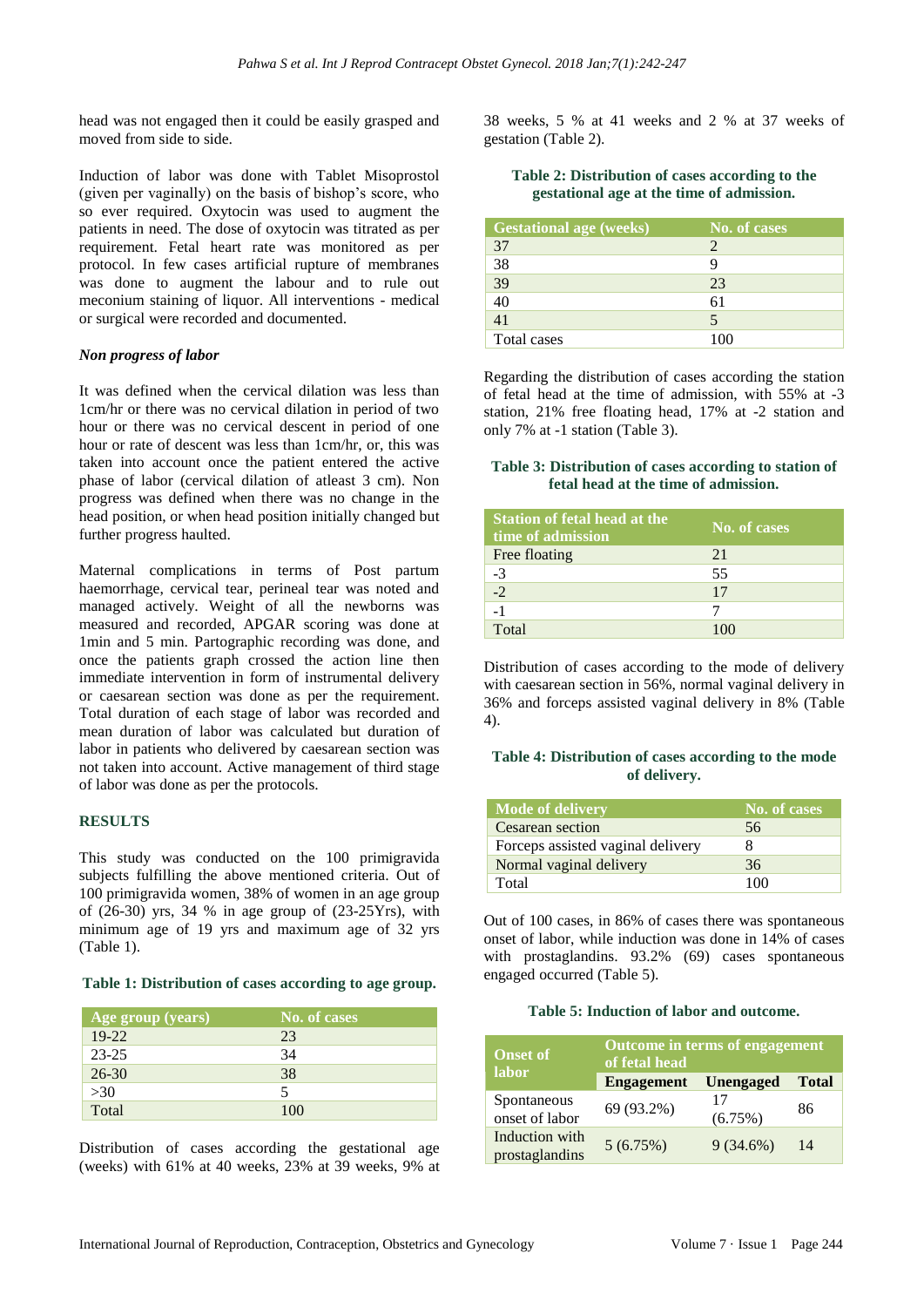head was not engaged then it could be easily grasped and moved from side to side.

Induction of labor was done with Tablet Misoprostol (given per vaginally) on the basis of bishop's score, who so ever required. Oxytocin was used to augment the patients in need. The dose of oxytocin was titrated as per requirement. Fetal heart rate was monitored as per protocol. In few cases artificial rupture of membranes was done to augment the labour and to rule out meconium staining of liquor. All interventions - medical or surgical were recorded and documented.

## *Non progress of labor*

It was defined when the cervical dilation was less than 1cm/hr or there was no cervical dilation in period of two hour or there was no cervical descent in period of one hour or rate of descent was less than 1cm/hr, or, this was taken into account once the patient entered the active phase of labor (cervical dilation of atleast 3 cm). Non progress was defined when there was no change in the head position, or when head position initially changed but further progress haulted.

Maternal complications in terms of Post partum haemorrhage, cervical tear, perineal tear was noted and managed actively. Weight of all the newborns was measured and recorded, APGAR scoring was done at 1min and 5 min. Partographic recording was done, and once the patients graph crossed the action line then immediate intervention in form of instrumental delivery or caesarean section was done as per the requirement. Total duration of each stage of labor was recorded and mean duration of labor was calculated but duration of labor in patients who delivered by caesarean section was not taken into account. Active management of third stage of labor was done as per the protocols.

#### **RESULTS**

This study was conducted on the 100 primigravida subjects fulfilling the above mentioned criteria. Out of 100 primigravida women, 38% of women in an age group of  $(26-30)$  yrs, 34 % in age group of  $(23-25Yrs)$ , with minimum age of 19 yrs and maximum age of 32 yrs (Table 1).

**Table 1: Distribution of cases according to age group.**

| Age group (years) | No. of cases |
|-------------------|--------------|
| $19-22$           | 23           |
| $23 - 25$         | 34           |
| $26 - 30$         | 38           |
| >30               |              |
| Total             | 100          |

Distribution of cases according the gestational age (weeks) with 61% at 40 weeks, 23% at 39 weeks, 9% at 38 weeks, 5 % at 41 weeks and 2 % at 37 weeks of gestation (Table 2).

|  | Table 2: Distribution of cases according to the |  |
|--|-------------------------------------------------|--|
|  | gestational age at the time of admission.       |  |

| <b>Gestational age (weeks)</b> | <b>No. of cases</b> |
|--------------------------------|---------------------|
| 37                             |                     |
| 38                             |                     |
| 39                             | 23                  |
| 40                             | 61                  |
| 41                             |                     |
| Total cases                    |                     |

Regarding the distribution of cases according the station of fetal head at the time of admission, with 55% at -3 station, 21% free floating head, 17% at -2 station and only 7% at -1 station (Table 3).

## **Table 3: Distribution of cases according to station of fetal head at the time of admission.**

| <b>Station of fetal head at the</b><br>time of admission | No. of cases |
|----------------------------------------------------------|--------------|
| Free floating                                            | 21           |
| $-3$                                                     | 55           |
| $-2$                                                     | 17           |
|                                                          |              |
| Total                                                    |              |

Distribution of cases according to the mode of delivery with caesarean section in 56%, normal vaginal delivery in 36% and forceps assisted vaginal delivery in 8% (Table 4).

## **Table 4: Distribution of cases according to the mode of delivery.**

| <b>Mode of delivery</b>           | No. of cases |
|-----------------------------------|--------------|
| Cesarean section                  | 56           |
| Forceps assisted vaginal delivery | x            |
| Normal vaginal delivery           | 36           |
| Total                             | 100          |

Out of 100 cases, in 86% of cases there was spontaneous onset of labor, while induction was done in 14% of cases with prostaglandins. 93.2% (69) cases spontaneous engaged occurred (Table 5).

#### **Table 5: Induction of labor and outcome.**

| <b>Onset of</b><br>labor         | <b>Outcome in terms of engagement</b><br>of fetal head |             |              |  |  |
|----------------------------------|--------------------------------------------------------|-------------|--------------|--|--|
|                                  | <b>Engagement</b><br><b>Unengaged</b>                  |             | <b>Total</b> |  |  |
| Spontaneous<br>onset of labor    | 69 (93.2%)                                             | (6.75%)     | 86           |  |  |
| Induction with<br>prostaglandins | 5(6.75%)                                               | $9(34.6\%)$ | 14           |  |  |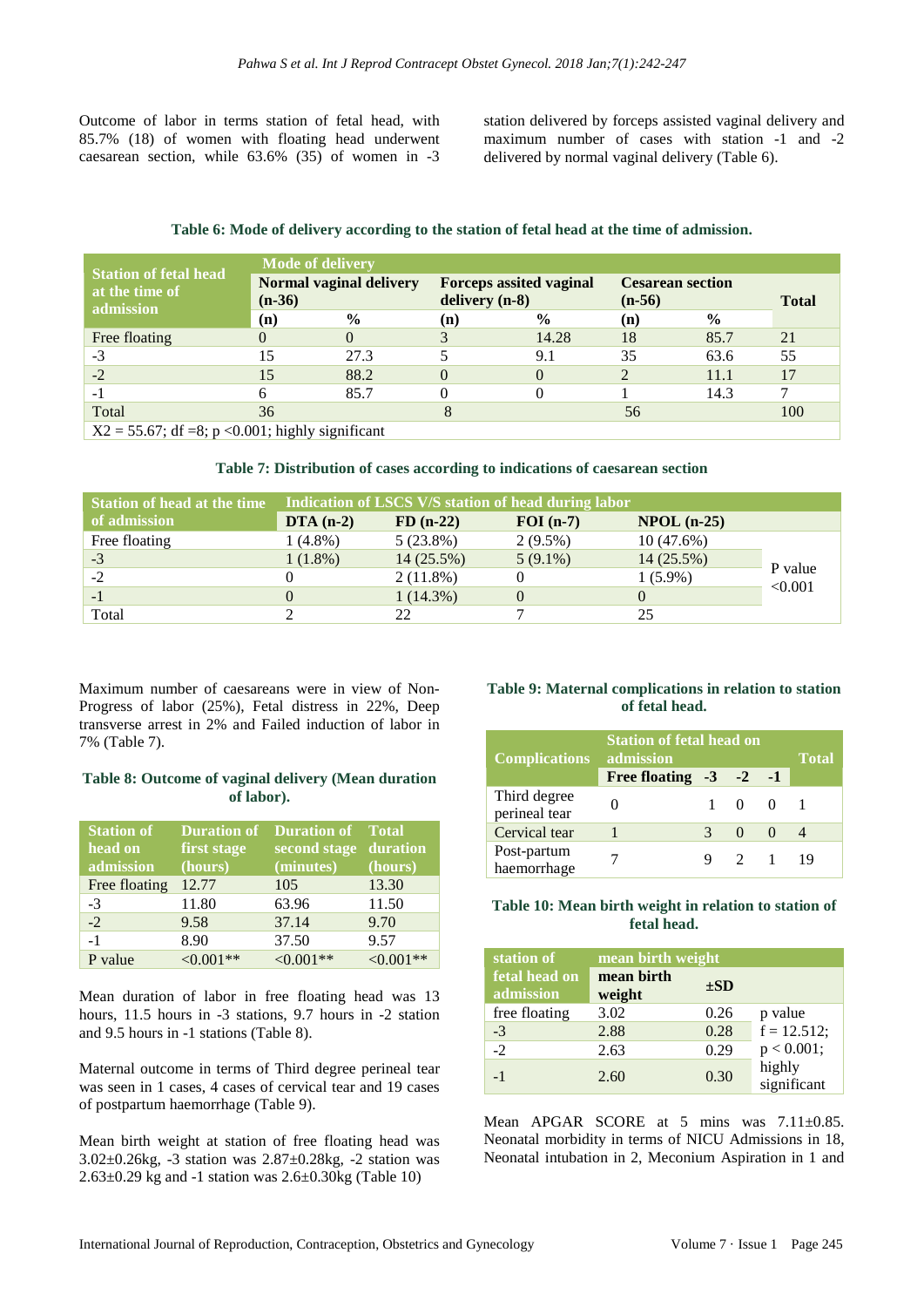Outcome of labor in terms station of fetal head, with 85.7% (18) of women with floating head underwent caesarean section, while 63.6% (35) of women in -3

station delivered by forceps assisted vaginal delivery and maximum number of cases with station -1 and -2 delivered by normal vaginal delivery (Table 6).

#### **Table 6: Mode of delivery according to the station of fetal head at the time of admission.**

| <b>Mode of delivery</b>                            |                                                                     |               |                                                    |               |                                     |               |              |
|----------------------------------------------------|---------------------------------------------------------------------|---------------|----------------------------------------------------|---------------|-------------------------------------|---------------|--------------|
| at the time of<br>admission                        | <b>Station of fetal head</b><br>Normal vaginal delivery<br>$(n-36)$ |               | <b>Forceps assited vaginal</b><br>delivery $(n-8)$ |               | <b>Cesarean section</b><br>$(n-56)$ |               | <b>Total</b> |
|                                                    | (n)                                                                 | $\frac{0}{0}$ | (n)                                                | $\frac{0}{0}$ | (n)                                 | $\frac{6}{9}$ |              |
| Free floating                                      |                                                                     | $\Omega$      |                                                    | 14.28         | 18                                  | 85.7          | 21           |
| $-3$                                               | 15                                                                  | 27.3          |                                                    | 9.1           | 35                                  | 63.6          | 55           |
| $-2$                                               | 15                                                                  | 88.2          |                                                    |               |                                     | 11.1          | 17           |
| - 1                                                |                                                                     | 85.7          |                                                    |               |                                     | 14.3          |              |
| Total                                              | 36                                                                  |               |                                                    |               | 56                                  |               | 100          |
| $X2 = 55.67$ ; df =8; p <0.001; highly significant |                                                                     |               |                                                    |               |                                     |               |              |

#### **Table 7: Distribution of cases according to indications of caesarean section**

| <b>Station of head at the time</b> | Indication of LSCS V/S station of head during labor |             |            |              |                    |
|------------------------------------|-----------------------------------------------------|-------------|------------|--------------|--------------------|
| of admission                       | $DTA(n-2)$                                          | $FD(n-22)$  | $FOI(n-7)$ | $NPOL(n-25)$ |                    |
| Free floating                      | $1(4.8\%)$                                          | $5(23.8\%)$ | $2(9.5\%)$ | 10(47.6%)    |                    |
| $-3$                               | $1(1.8\%)$                                          | 14 (25.5%)  | $5(9.1\%)$ | 14(25.5%)    |                    |
| $-2$                               |                                                     | $2(11.8\%)$ |            | $1(5.9\%)$   | P value<br>< 0.001 |
| $-1$                               | $\Omega$                                            | 1(14.3%)    |            |              |                    |
| Total                              |                                                     | つつ          |            | 25           |                    |

Maximum number of caesareans were in view of Non-Progress of labor (25%), Fetal distress in 22%, Deep transverse arrest in 2% and Failed induction of labor in 7% (Table 7).

## **Table 8: Outcome of vaginal delivery (Mean duration of labor).**

| <b>Station of</b><br>head on<br>admission | first stage<br>(hours) | <b>Duration of</b> Duration of Total<br>second stage duration<br>(minutes) | (hours) |
|-------------------------------------------|------------------------|----------------------------------------------------------------------------|---------|
| Free floating                             | 12.77                  | 105                                                                        | 13.30   |
| $-3$                                      | 11.80                  | 63.96                                                                      | 11.50   |
| $-2$                                      | 9.58                   | 37.14                                                                      | 9.70    |
| $-1$                                      | 8.90                   | 37.50                                                                      | 9.57    |
| P value                                   | $<0.001**$             | $<0.001**$                                                                 | **      |

Mean duration of labor in free floating head was 13 hours, 11.5 hours in -3 stations, 9.7 hours in -2 station and 9.5 hours in -1 stations (Table 8).

Maternal outcome in terms of Third degree perineal tear was seen in 1 cases, 4 cases of cervical tear and 19 cases of postpartum haemorrhage (Table 9).

Mean birth weight at station of free floating head was 3.02±0.26kg, -3 station was 2.87±0.28kg, -2 station was 2.63±0.29 kg and -1 station was 2.6±0.30kg (Table 10)

## **Table 9: Maternal complications in relation to station of fetal head.**

| <b>Complications</b>          | <b>Station of fetal head on</b><br>admission |   |              |  | <b>Total</b> |
|-------------------------------|----------------------------------------------|---|--------------|--|--------------|
|                               | Free floating $-3$ $-2$ $-1$                 |   |              |  |              |
| Third degree<br>perineal tear |                                              |   | $_{0}$       |  |              |
| Cervical tear                 |                                              | 3 | $\mathbf{0}$ |  |              |
| Post-partum<br>haemorrhage    |                                              |   | 2 1          |  | 19           |

## **Table 10: Mean birth weight in relation to station of fetal head.**

| station of                 | mean birth weight    |          |                       |  |  |
|----------------------------|----------------------|----------|-----------------------|--|--|
| fetal head on<br>admission | mean birth<br>weight | $\pm SD$ |                       |  |  |
| free floating              | 3.02                 | 0.26     | p value               |  |  |
| $-3$                       | 2.88                 | 0.28     | $f = 12.512$ ;        |  |  |
| $-2$                       | 2.63                 | 0.29     | $p < 0.001$ ;         |  |  |
| $-1$                       | 2.60                 | 0.30     | highly<br>significant |  |  |

Mean APGAR SCORE at 5 mins was 7.11±0.85. Neonatal morbidity in terms of NICU Admissions in 18, Neonatal intubation in 2, Meconium Aspiration in 1 and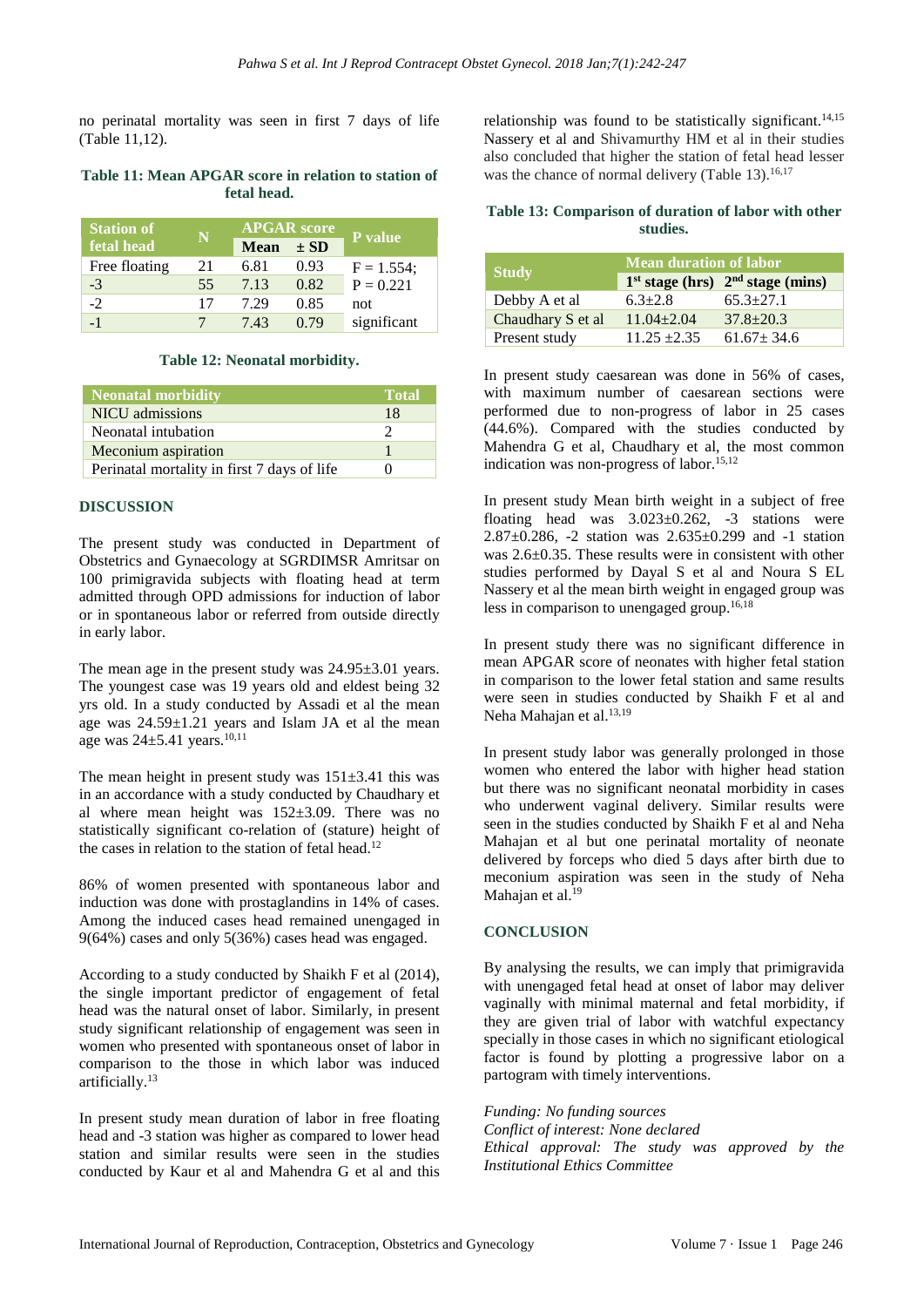no perinatal mortality was seen in first 7 days of life (Table 11,12).

## **Table 11: Mean APGAR score in relation to station of fetal head.**

| <b>Station of</b> | <b>APGAR</b> score |      | <b>P</b> value |              |
|-------------------|--------------------|------|----------------|--------------|
| fetal head        | N                  | Mean | $\pm$ SD       |              |
| Free floating     | 21                 | 6.81 | 0.93           | $F = 1.554;$ |
| $-3$              | 55                 | 7.13 | 0.82           | $P = 0.221$  |
| $-2$              | 17                 | 7.29 | 0.85           | not          |
| $-1$              |                    | 743  | 0.79           | significant  |

#### **Table 12: Neonatal morbidity.**

| Neonatal morbidity                          | <b>Total</b> |
|---------------------------------------------|--------------|
| NICU admissions                             | 18           |
| Neonatal intubation                         |              |
| Meconium aspiration                         |              |
| Perinatal mortality in first 7 days of life |              |

#### **DISCUSSION**

The present study was conducted in Department of Obstetrics and Gynaecology at SGRDIMSR Amritsar on 100 primigravida subjects with floating head at term admitted through OPD admissions for induction of labor or in spontaneous labor or referred from outside directly in early labor.

The mean age in the present study was 24.95±3.01 years. The youngest case was 19 years old and eldest being 32 yrs old. In a study conducted by Assadi et al the mean age was 24.59±1.21 years and Islam JA et al the mean age was  $24 \pm 5.41$  years.<sup>10,11</sup>

The mean height in present study was 151±3.41 this was in an accordance with a study conducted by Chaudhary et al where mean height was  $152\pm3.09$ . There was no statistically significant co-relation of (stature) height of the cases in relation to the station of fetal head.<sup>12</sup>

86% of women presented with spontaneous labor and induction was done with prostaglandins in 14% of cases. Among the induced cases head remained unengaged in 9(64%) cases and only 5(36%) cases head was engaged.

According to a study conducted by Shaikh F et al (2014), the single important predictor of engagement of fetal head was the natural onset of labor. Similarly, in present study significant relationship of engagement was seen in women who presented with spontaneous onset of labor in comparison to the those in which labor was induced artificially.<sup>13</sup>

In present study mean duration of labor in free floating head and -3 station was higher as compared to lower head station and similar results were seen in the studies conducted by Kaur et al and Mahendra G et al and this relationship was found to be statistically significant.<sup>14,15</sup> Nassery et al and Shivamurthy HM et al in their studies also concluded that higher the station of fetal head lesser was the chance of normal delivery (Table  $13$ ).<sup>16,17</sup>

#### **Table 13: Comparison of duration of labor with other studies.**

|                   | <b>Mean duration of labor</b> |                                    |
|-------------------|-------------------------------|------------------------------------|
| <b>Study</b>      |                               | $1st stage (hrs) 2nd stage (mins)$ |
| Debby A et al     | $6.3 + 2.8$                   | $65.3 + 27.1$                      |
| Chaudhary S et al | $11.04 + 2.04$                | $37.8 + 20.3$                      |
| Present study     | $11.25 + 2.35$                | $61.67 \pm 34.6$                   |

In present study caesarean was done in 56% of cases, with maximum number of caesarean sections were performed due to non-progress of labor in 25 cases (44.6%). Compared with the studies conducted by Mahendra G et al, Chaudhary et al, the most common indication was non-progress of labor.<sup>15,12</sup>

In present study Mean birth weight in a subject of free floating head was  $3.023 \pm 0.262$ ,  $-3$  stations were 2.87±0.286, -2 station was 2.635±0.299 and -1 station was 2.6±0.35. These results were in consistent with other studies performed by Dayal S et al and Noura S EL Nassery et al the mean birth weight in engaged group was less in comparison to unengaged group.16,18

In present study there was no significant difference in mean APGAR score of neonates with higher fetal station in comparison to the lower fetal station and same results were seen in studies conducted by Shaikh F et al and Neha Mahajan et al.<sup>13,19</sup>

In present study labor was generally prolonged in those women who entered the labor with higher head station but there was no significant neonatal morbidity in cases who underwent vaginal delivery. Similar results were seen in the studies conducted by Shaikh F et al and Neha Mahajan et al but one perinatal mortality of neonate delivered by forceps who died 5 days after birth due to meconium aspiration was seen in the study of Neha Mahajan et al.<sup>19</sup>

#### **CONCLUSION**

By analysing the results, we can imply that primigravida with unengaged fetal head at onset of labor may deliver vaginally with minimal maternal and fetal morbidity, if they are given trial of labor with watchful expectancy specially in those cases in which no significant etiological factor is found by plotting a progressive labor on a partogram with timely interventions.

*Funding: No funding sources Conflict of interest: None declared Ethical approval: The study was approved by the Institutional Ethics Committee*